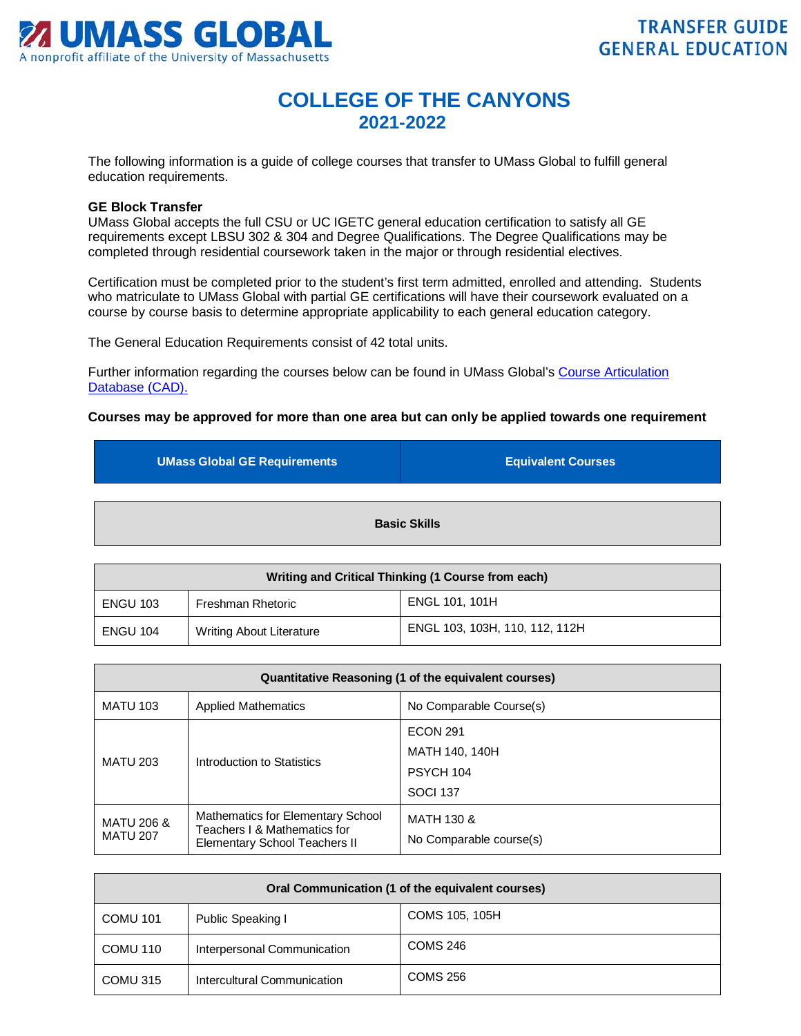

# **COLLEGE OF THE CANYONS 2021-2022**

The following information is a guide of college courses that transfer to UMass Global to fulfill general education requirements.

#### **GE Block Transfer**

UMass Global accepts the full CSU or UC IGETC general education certification to satisfy all GE requirements except LBSU 302 & 304 and Degree Qualifications. The Degree Qualifications may be completed through residential coursework taken in the major or through residential electives.

Certification must be completed prior to the student's first term admitted, enrolled and attending. Students who matriculate to UMass Global with partial GE certifications will have their coursework evaluated on a course by course basis to determine appropriate applicability to each general education category.

The General Education Requirements consist of 42 total units.

Further information regarding the courses below can be found in UMass Global's [Course Articulation](http://services.umassglobal.edu/studentservices/TransferCredit/)  Database (CAD).

### **Courses may be approved for more than one area but can only be applied towards one requirement**

| <b>UMass Global GE Requirements</b> | <b>Equivalent Courses</b> |
|-------------------------------------|---------------------------|
|                                     | <b>Basic Skills</b>       |

| Writing and Critical Thinking (1 Course from each) |                                 |                                |
|----------------------------------------------------|---------------------------------|--------------------------------|
| <b>ENGU 103</b>                                    | Freshman Rhetoric               | ENGL 101, 101H                 |
| <b>ENGU 104</b>                                    | <b>Writing About Literature</b> | ENGL 103, 103H, 110, 112, 112H |

| Quantitative Reasoning (1 of the equivalent courses) |                                                                                                    |                                       |
|------------------------------------------------------|----------------------------------------------------------------------------------------------------|---------------------------------------|
| <b>MATU 103</b>                                      | <b>Applied Mathematics</b>                                                                         | No Comparable Course(s)               |
| <b>MATU 203</b><br>Introduction to Statistics        | <b>ECON 291</b>                                                                                    |                                       |
|                                                      |                                                                                                    | MATH 140, 140H                        |
|                                                      |                                                                                                    | PSYCH 104                             |
|                                                      |                                                                                                    | <b>SOCI 137</b>                       |
| <b>MATU 206 &amp;</b><br><b>MATU 207</b>             | Mathematics for Elementary School<br>Teachers I & Mathematics for<br>Elementary School Teachers II | MATH 130 &<br>No Comparable course(s) |

| Oral Communication (1 of the equivalent courses) |                             |                 |
|--------------------------------------------------|-----------------------------|-----------------|
| <b>COMU 101</b>                                  | Public Speaking I           | COMS 105, 105H  |
| COMU 110                                         | Interpersonal Communication | COMS 246        |
| COMU 315                                         | Intercultural Communication | <b>COMS 256</b> |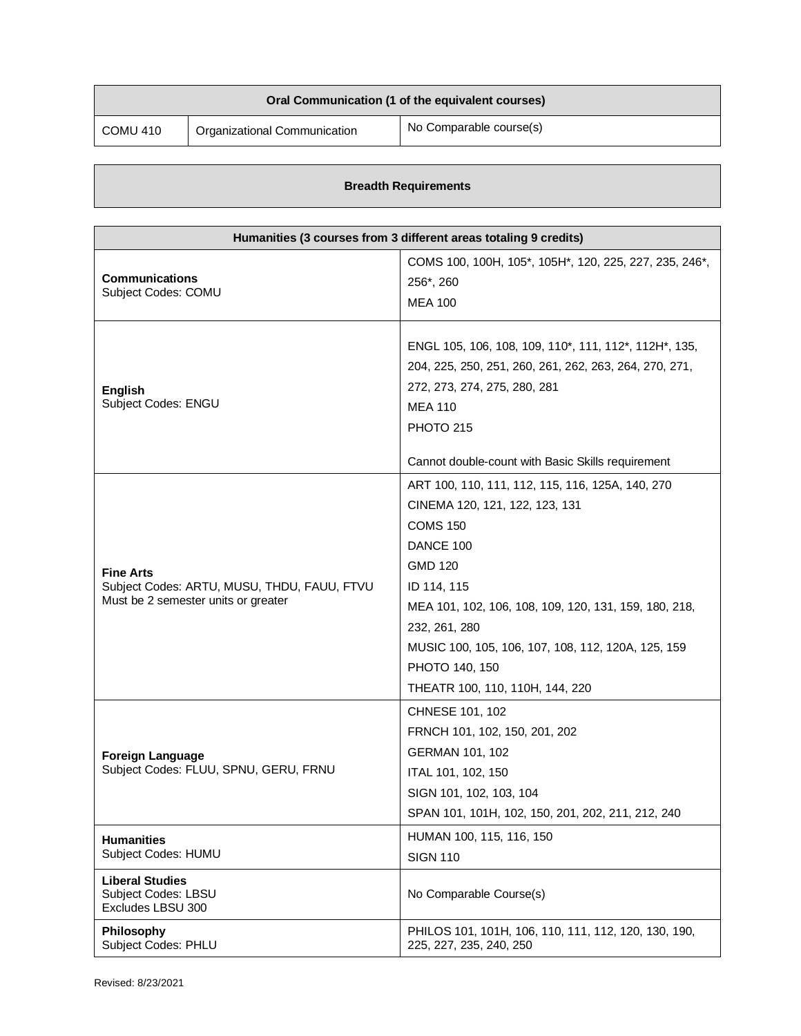| Oral Communication (1 of the equivalent courses) |                              |                         |
|--------------------------------------------------|------------------------------|-------------------------|
| COMU 410                                         | Organizational Communication | No Comparable course(s) |

## **Breadth Requirements**

| Humanities (3 courses from 3 different areas totaling 9 credits)                                       |                                                                                                                                                                                                                                                                                                                                          |  |
|--------------------------------------------------------------------------------------------------------|------------------------------------------------------------------------------------------------------------------------------------------------------------------------------------------------------------------------------------------------------------------------------------------------------------------------------------------|--|
| <b>Communications</b><br>Subject Codes: COMU                                                           | COMS 100, 100H, 105*, 105H*, 120, 225, 227, 235, 246*,<br>256*, 260<br><b>MEA 100</b>                                                                                                                                                                                                                                                    |  |
| English<br>Subject Codes: ENGU                                                                         | ENGL 105, 106, 108, 109, 110*, 111, 112*, 112H*, 135,<br>204, 225, 250, 251, 260, 261, 262, 263, 264, 270, 271,<br>272, 273, 274, 275, 280, 281<br><b>MEA 110</b><br>PHOTO 215<br>Cannot double-count with Basic Skills requirement                                                                                                      |  |
| <b>Fine Arts</b><br>Subject Codes: ARTU, MUSU, THDU, FAUU, FTVU<br>Must be 2 semester units or greater | ART 100, 110, 111, 112, 115, 116, 125A, 140, 270<br>CINEMA 120, 121, 122, 123, 131<br><b>COMS 150</b><br>DANCE 100<br><b>GMD 120</b><br>ID 114, 115<br>MEA 101, 102, 106, 108, 109, 120, 131, 159, 180, 218,<br>232, 261, 280<br>MUSIC 100, 105, 106, 107, 108, 112, 120A, 125, 159<br>PHOTO 140, 150<br>THEATR 100, 110, 110H, 144, 220 |  |
| <b>Foreign Language</b><br>Subject Codes: FLUU, SPNU, GERU, FRNU                                       | CHNESE 101, 102<br>FRNCH 101, 102, 150, 201, 202<br>GERMAN 101, 102<br>ITAL 101, 102, 150<br>SIGN 101, 102, 103, 104<br>SPAN 101, 101H, 102, 150, 201, 202, 211, 212, 240                                                                                                                                                                |  |
| <b>Humanities</b><br>Subject Codes: HUMU                                                               | HUMAN 100, 115, 116, 150<br><b>SIGN 110</b>                                                                                                                                                                                                                                                                                              |  |
| <b>Liberal Studies</b><br><b>Subject Codes: LBSU</b><br>Excludes LBSU 300                              | No Comparable Course(s)                                                                                                                                                                                                                                                                                                                  |  |
| Philosophy<br><b>Subject Codes: PHLU</b>                                                               | PHILOS 101, 101H, 106, 110, 111, 112, 120, 130, 190,<br>225, 227, 235, 240, 250                                                                                                                                                                                                                                                          |  |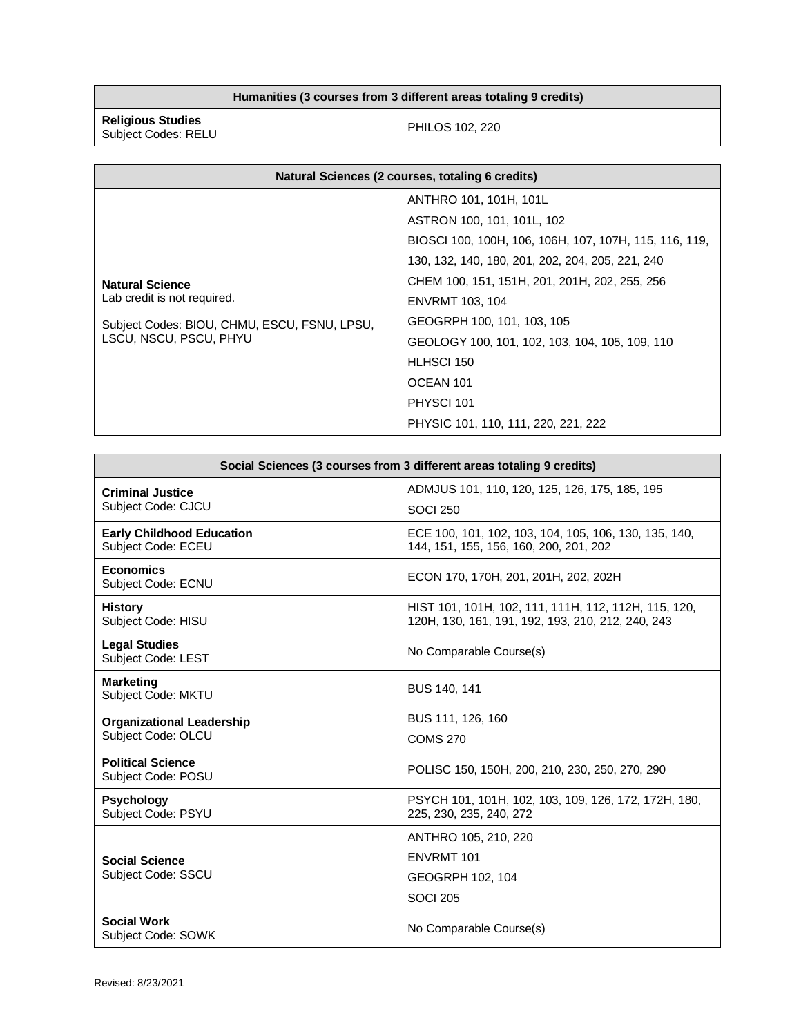## **Humanities (3 courses from 3 different areas totaling 9 credits)**

**Religious Studies** Subject Codes: RELU PHILOS 102, 220

| Natural Sciences (2 courses, totaling 6 credits) |                                                        |
|--------------------------------------------------|--------------------------------------------------------|
|                                                  | ANTHRO 101, 101H, 101L                                 |
|                                                  | ASTRON 100, 101, 101L, 102                             |
| <b>Natural Science</b>                           | BIOSCI 100, 100H, 106, 106H, 107, 107H, 115, 116, 119, |
|                                                  | 130, 132, 140, 180, 201, 202, 204, 205, 221, 240       |
|                                                  | CHEM 100, 151, 151H, 201, 201H, 202, 255, 256          |
| Lab credit is not required.                      | <b>ENVRMT 103, 104</b>                                 |
| Subject Codes: BIOU, CHMU, ESCU, FSNU, LPSU,     | GEOGRPH 100, 101, 103, 105                             |
| LSCU, NSCU, PSCU, PHYU                           | GEOLOGY 100, 101, 102, 103, 104, 105, 109, 110         |
|                                                  | HLHSCI 150                                             |
|                                                  | OCEAN 101                                              |
|                                                  | PHYSCI 101                                             |
|                                                  | PHYSIC 101, 110, 111, 220, 221, 222                    |

| Social Sciences (3 courses from 3 different areas totaling 9 credits) |                                                                                                           |
|-----------------------------------------------------------------------|-----------------------------------------------------------------------------------------------------------|
| <b>Criminal Justice</b>                                               | ADMJUS 101, 110, 120, 125, 126, 175, 185, 195                                                             |
| Subject Code: CJCU                                                    | <b>SOCI 250</b>                                                                                           |
| <b>Early Childhood Education</b><br>Subject Code: ECEU                | ECE 100, 101, 102, 103, 104, 105, 106, 130, 135, 140,<br>144, 151, 155, 156, 160, 200, 201, 202           |
| <b>Economics</b><br>Subject Code: ECNU                                | ECON 170, 170H, 201, 201H, 202, 202H                                                                      |
| <b>History</b><br>Subject Code: HISU                                  | HIST 101, 101H, 102, 111, 111H, 112, 112H, 115, 120,<br>120H, 130, 161, 191, 192, 193, 210, 212, 240, 243 |
| <b>Legal Studies</b><br>Subject Code: LEST                            | No Comparable Course(s)                                                                                   |
| <b>Marketing</b><br>Subject Code: MKTU                                | BUS 140, 141                                                                                              |
| <b>Organizational Leadership</b>                                      | BUS 111, 126, 160                                                                                         |
| Subject Code: OLCU                                                    | <b>COMS 270</b>                                                                                           |
| <b>Political Science</b><br>Subject Code: POSU                        | POLISC 150, 150H, 200, 210, 230, 250, 270, 290                                                            |
| <b>Psychology</b><br>Subject Code: PSYU                               | PSYCH 101, 101H, 102, 103, 109, 126, 172, 172H, 180,<br>225, 230, 235, 240, 272                           |
|                                                                       | ANTHRO 105, 210, 220                                                                                      |
| <b>Social Science</b>                                                 | <b>ENVRMT 101</b>                                                                                         |
| Subject Code: SSCU                                                    | GEOGRPH 102, 104                                                                                          |
|                                                                       | <b>SOCI 205</b>                                                                                           |
| <b>Social Work</b><br>Subject Code: SOWK                              | No Comparable Course(s)                                                                                   |